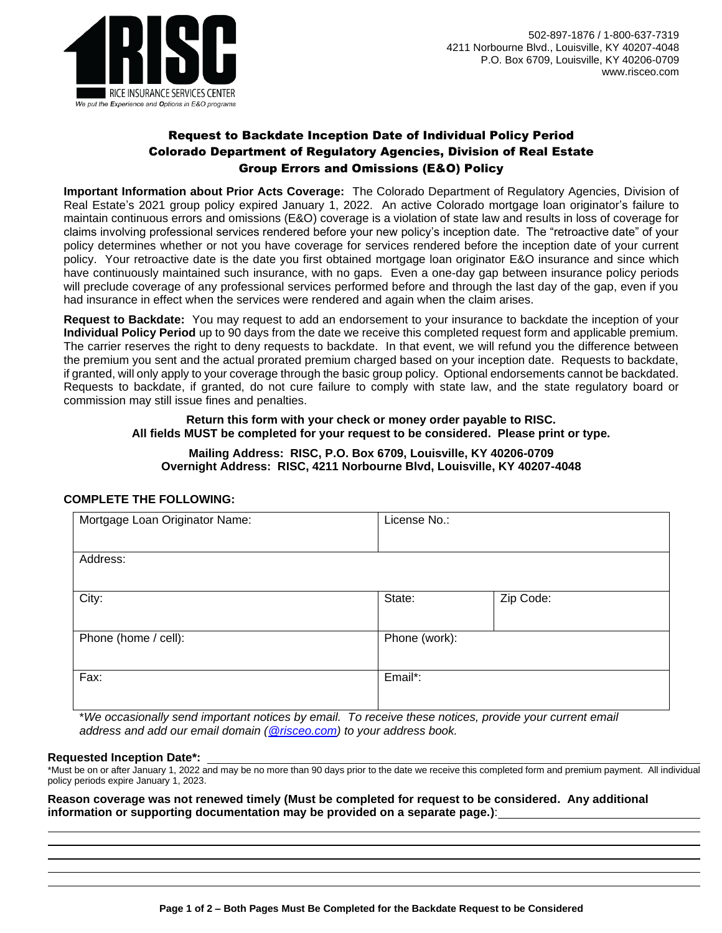

# Request to Backdate Inception Date of Individual Policy Period Colorado Department of Regulatory Agencies, Division of Real Estate Group Errors and Omissions (E&O) Policy

**Important Information about Prior Acts Coverage:** The Colorado Department of Regulatory Agencies, Division of Real Estate's 2021 group policy expired January 1, 2022. An active Colorado mortgage loan originator's failure to maintain continuous errors and omissions (E&O) coverage is a violation of state law and results in loss of coverage for claims involving professional services rendered before your new policy's inception date. The "retroactive date" of your policy determines whether or not you have coverage for services rendered before the inception date of your current policy. Your retroactive date is the date you first obtained mortgage loan originator E&O insurance and since which have continuously maintained such insurance, with no gaps. Even a one-day gap between insurance policy periods will preclude coverage of any professional services performed before and through the last day of the gap, even if you had insurance in effect when the services were rendered and again when the claim arises.

**Request to Backdate:** You may request to add an endorsement to your insurance to backdate the inception of your **Individual Policy Period** up to 90 days from the date we receive this completed request form and applicable premium. The carrier reserves the right to deny requests to backdate. In that event, we will refund you the difference between the premium you sent and the actual prorated premium charged based on your inception date. Requests to backdate, if granted, will only apply to your coverage through the basic group policy. Optional endorsements cannot be backdated. Requests to backdate, if granted, do not cure failure to comply with state law, and the state regulatory board or commission may still issue fines and penalties.

### **Return this form with your check or money order payable to RISC. All fields MUST be completed for your request to be considered. Please print or type.**

## **Mailing Address: RISC, P.O. Box 6709, Louisville, KY 40206-0709 Overnight Address: RISC, 4211 Norbourne Blvd, Louisville, KY 40207-4048**

## **COMPLETE THE FOLLOWING:**

| Mortgage Loan Originator Name: | License No.: |               |  |
|--------------------------------|--------------|---------------|--|
| Address:                       |              |               |  |
| City:                          | State:       | Zip Code:     |  |
| Phone (home / cell):           |              | Phone (work): |  |
| Fax:                           | Email*:      |               |  |

\**We occasionally send important notices by email. To receive these notices, provide your current email address and add our email domain [\(@risceo.com\)](mailto:policyadministrator@risceo.com) to your address book.*

#### **Requested Inception Date\*:**

\*Must be on or after January 1, 2022 and may be no more than 90 days prior to the date we receive this completed form and premium payment. All individual policy periods expire January 1, 2023.

**Reason coverage was not renewed timely (Must be completed for request to be considered. Any additional information or supporting documentation may be provided on a separate page.)**: